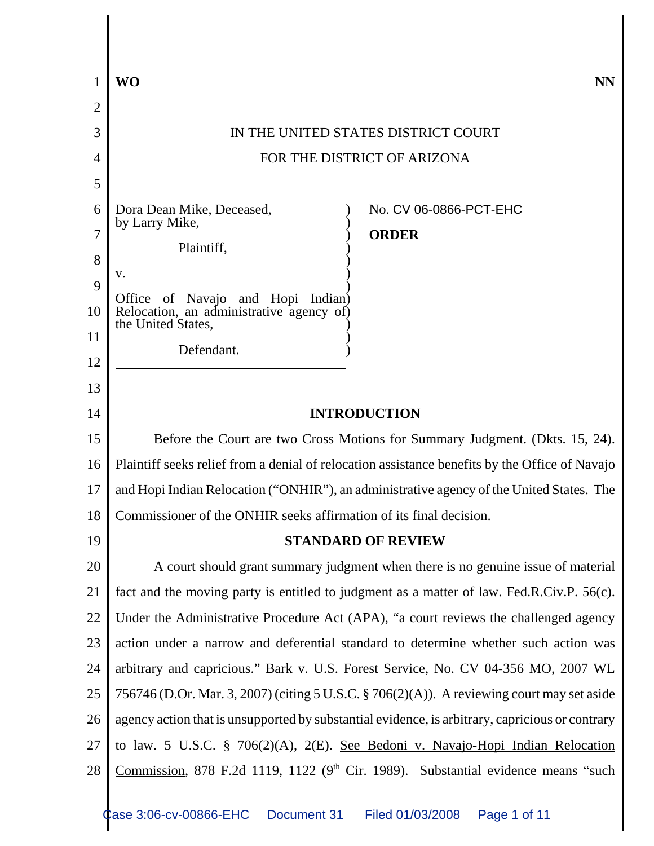|    | WO<br><b>NN</b>                                                                                 |  |  |
|----|-------------------------------------------------------------------------------------------------|--|--|
| 2  |                                                                                                 |  |  |
| 3  | IN THE UNITED STATES DISTRICT COURT                                                             |  |  |
| 4  | FOR THE DISTRICT OF ARIZONA                                                                     |  |  |
| 5  |                                                                                                 |  |  |
| 6  | No. CV 06-0866-PCT-EHC<br>Dora Dean Mike, Deceased,<br>by Larry Mike,                           |  |  |
| 7  | <b>ORDER</b><br>Plaintiff,                                                                      |  |  |
| 8  | v.                                                                                              |  |  |
| 9  | Office of Navajo and Hopi<br>Indian)                                                            |  |  |
| 10 | Relocation, an administrative agency of)<br>the United States,                                  |  |  |
| 11 | Defendant.                                                                                      |  |  |
| 12 |                                                                                                 |  |  |
| 13 |                                                                                                 |  |  |
| 14 | <b>INTRODUCTION</b>                                                                             |  |  |
| 15 | Before the Court are two Cross Motions for Summary Judgment. (Dkts. 15, 24).                    |  |  |
| 16 | Plaintiff seeks relief from a denial of relocation assistance benefits by the Office of Navajo  |  |  |
| 17 | and Hopi Indian Relocation ("ONHIR"), an administrative agency of the United States. The        |  |  |
| 18 | Commissioner of the ONHIR seeks affirmation of its final decision.                              |  |  |
| 19 | <b>STANDARD OF REVIEW</b>                                                                       |  |  |
| 20 | A court should grant summary judgment when there is no genuine issue of material                |  |  |
| 21 | fact and the moving party is entitled to judgment as a matter of law. Fed.R.Civ.P. 56(c).       |  |  |
| 22 | Under the Administrative Procedure Act (APA), "a court reviews the challenged agency            |  |  |
| 23 | action under a narrow and deferential standard to determine whether such action was             |  |  |
| 24 | arbitrary and capricious." Bark v. U.S. Forest Service, No. CV 04-356 MO, 2007 WL               |  |  |
| 25 | 756746 (D.Or. Mar. 3, 2007) (citing 5 U.S.C. § 706(2)(A)). A reviewing court may set aside      |  |  |
| 26 | agency action that is unsupported by substantial evidence, is arbitrary, capricious or contrary |  |  |
| 27 | to law. 5 U.S.C. § 706(2)(A), 2(E). See Bedoni v. Navajo-Hopi Indian Relocation                 |  |  |
| 28 | <u>Commission</u> , 878 F.2d 1119, 1122 ( $9th$ Cir. 1989). Substantial evidence means "such    |  |  |
|    |                                                                                                 |  |  |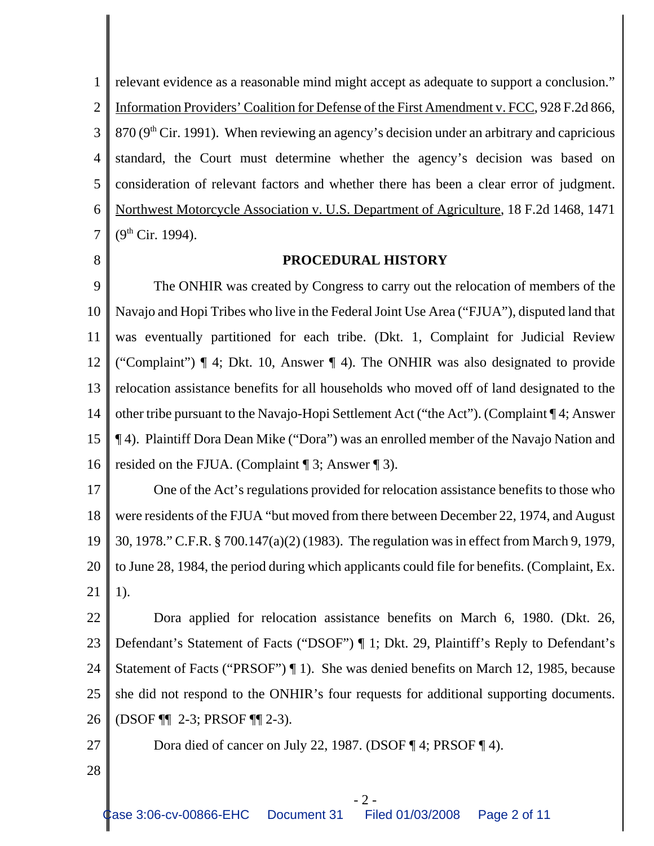1 2 3 4 5 6 7 relevant evidence as a reasonable mind might accept as adequate to support a conclusion." Information Providers' Coalition for Defense of the First Amendment v. FCC, 928 F.2d 866,  $870 (9<sup>th</sup> Cir. 1991)$ . When reviewing an agency's decision under an arbitrary and capricious standard, the Court must determine whether the agency's decision was based on consideration of relevant factors and whether there has been a clear error of judgment. Northwest Motorcycle Association v. U.S. Department of Agriculture, 18 F.2d 1468, 1471  $(9^{th}$  Cir. 1994).

8

### **PROCEDURAL HISTORY**

9 10 11 12 13 14 15 16 The ONHIR was created by Congress to carry out the relocation of members of the Navajo and Hopi Tribes who live in the Federal Joint Use Area ("FJUA"), disputed land that was eventually partitioned for each tribe. (Dkt. 1, Complaint for Judicial Review ("Complaint") ¶ 4; Dkt. 10, Answer ¶ 4). The ONHIR was also designated to provide relocation assistance benefits for all households who moved off of land designated to the other tribe pursuant to the Navajo-Hopi Settlement Act ("the Act"). (Complaint ¶ 4; Answer ¶ 4). Plaintiff Dora Dean Mike ("Dora") was an enrolled member of the Navajo Nation and resided on the FJUA. (Complaint ¶ 3; Answer ¶ 3).

17 18 19 20 21 One of the Act's regulations provided for relocation assistance benefits to those who were residents of the FJUA "but moved from there between December 22, 1974, and August 30, 1978." C.F.R. § 700.147(a)(2) (1983). The regulation was in effect from March 9, 1979, to June 28, 1984, the period during which applicants could file for benefits. (Complaint, Ex. 1).

22 23 24 25 26 Dora applied for relocation assistance benefits on March 6, 1980. (Dkt. 26, Defendant's Statement of Facts ("DSOF") ¶ 1; Dkt. 29, Plaintiff's Reply to Defendant's Statement of Facts ("PRSOF") ¶ 1). She was denied benefits on March 12, 1985, because she did not respond to the ONHIR's four requests for additional supporting documents. (DSOF ¶¶ 2-3; PRSOF ¶¶ 2-3).

- Dora died of cancer on July 22, 1987. (DSOF ¶ 4; PRSOF ¶ 4).
- 28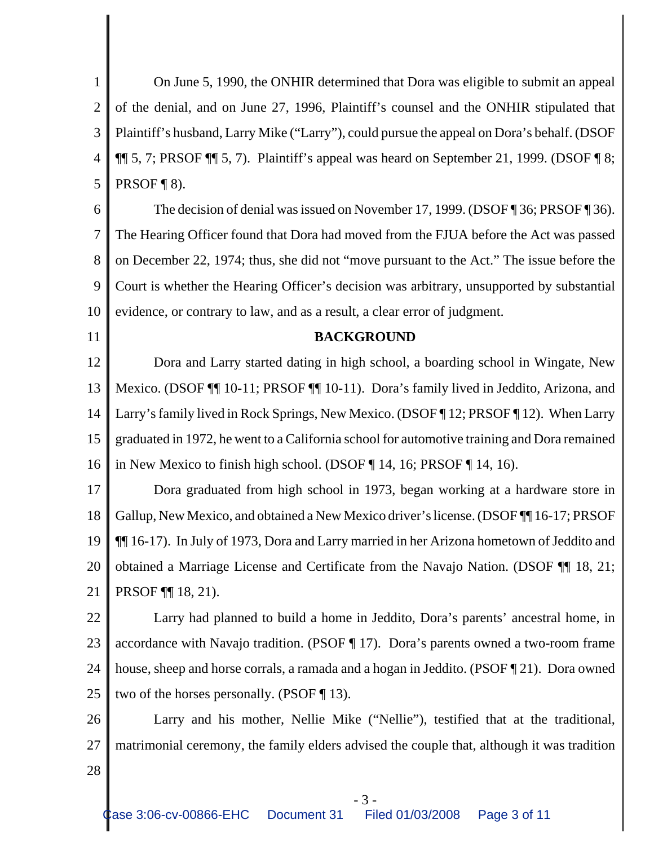1 2 3 4 5 On June 5, 1990, the ONHIR determined that Dora was eligible to submit an appeal of the denial, and on June 27, 1996, Plaintiff's counsel and the ONHIR stipulated that Plaintiff's husband, Larry Mike ("Larry"), could pursue the appeal on Dora's behalf. (DSOF  $\P\P$  5, 7; PRSOF  $\P$  5, 7). Plaintiff's appeal was heard on September 21, 1999. (DSOF  $\P$  8; PRSOF ¶ 8).

6 7 8 9 10 The decision of denial was issued on November 17, 1999. (DSOF ¶ 36; PRSOF ¶ 36). The Hearing Officer found that Dora had moved from the FJUA before the Act was passed on December 22, 1974; thus, she did not "move pursuant to the Act." The issue before the Court is whether the Hearing Officer's decision was arbitrary, unsupported by substantial evidence, or contrary to law, and as a result, a clear error of judgment.

11

#### **BACKGROUND**

12 13 14 15 16 Dora and Larry started dating in high school, a boarding school in Wingate, New Mexico. (DSOF ¶¶ 10-11; PRSOF ¶¶ 10-11). Dora's family lived in Jeddito, Arizona, and Larry's family lived in Rock Springs, New Mexico. (DSOF ¶ 12; PRSOF ¶ 12). When Larry graduated in 1972, he went to a California school for automotive training and Dora remained in New Mexico to finish high school. (DSOF ¶ 14, 16; PRSOF ¶ 14, 16).

17 18 19 20 21 Dora graduated from high school in 1973, began working at a hardware store in Gallup, New Mexico, and obtained a New Mexico driver's license. (DSOF ¶¶ 16-17; PRSOF ¶¶ 16-17). In July of 1973, Dora and Larry married in her Arizona hometown of Jeddito and obtained a Marriage License and Certificate from the Navajo Nation. (DSOF ¶¶ 18, 21; PRSOF ¶¶ 18, 21).

22 23 24 25 Larry had planned to build a home in Jeddito, Dora's parents' ancestral home, in accordance with Navajo tradition. (PSOF ¶ 17). Dora's parents owned a two-room frame house, sheep and horse corrals, a ramada and a hogan in Jeddito. (PSOF 121). Dora owned two of the horses personally. (PSOF ¶ 13).

26 27 Larry and his mother, Nellie Mike ("Nellie"), testified that at the traditional, matrimonial ceremony, the family elders advised the couple that, although it was tradition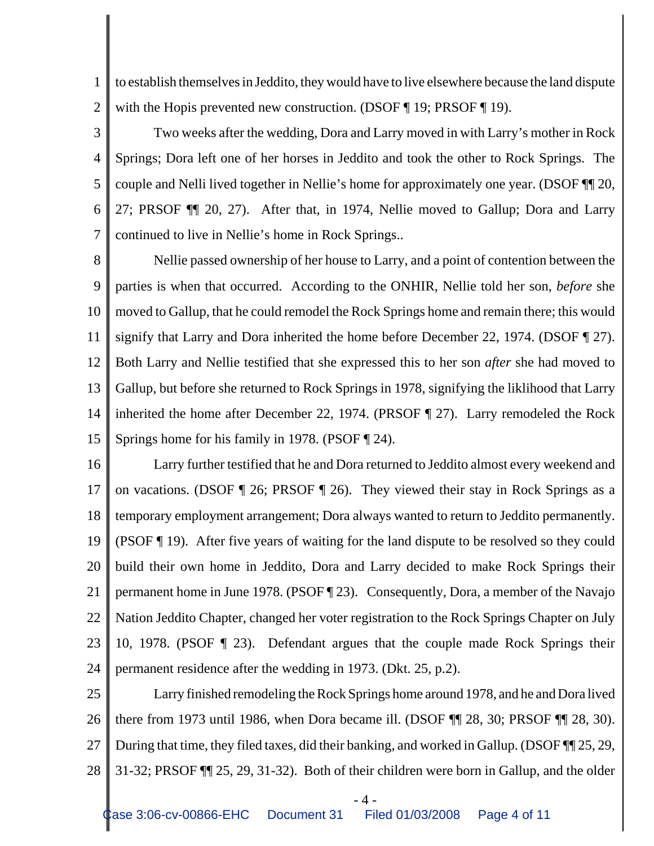1 2 to establish themselves in Jeddito, they would have to live elsewhere because the land dispute with the Hopis prevented new construction. (DSOF ¶ 19; PRSOF ¶ 19).

3

4 5 6 7 Two weeks after the wedding, Dora and Larry moved in with Larry's mother in Rock Springs; Dora left one of her horses in Jeddito and took the other to Rock Springs. The couple and Nelli lived together in Nellie's home for approximately one year. (DSOF ¶¶ 20, 27; PRSOF ¶¶ 20, 27). After that, in 1974, Nellie moved to Gallup; Dora and Larry continued to live in Nellie's home in Rock Springs..

8 9 10 11 12 13 14 15 Nellie passed ownership of her house to Larry, and a point of contention between the parties is when that occurred. According to the ONHIR, Nellie told her son, *before* she moved to Gallup, that he could remodel the Rock Springs home and remain there; this would signify that Larry and Dora inherited the home before December 22, 1974. (DSOF ¶ 27). Both Larry and Nellie testified that she expressed this to her son *after* she had moved to Gallup, but before she returned to Rock Springs in 1978, signifying the liklihood that Larry inherited the home after December 22, 1974. (PRSOF ¶ 27). Larry remodeled the Rock Springs home for his family in 1978. (PSOF ¶ 24).

16 17 18 19 20 21 22 23 24 Larry further testified that he and Dora returned to Jeddito almost every weekend and on vacations. (DSOF ¶ 26; PRSOF ¶ 26). They viewed their stay in Rock Springs as a temporary employment arrangement; Dora always wanted to return to Jeddito permanently. (PSOF ¶ 19). After five years of waiting for the land dispute to be resolved so they could build their own home in Jeddito, Dora and Larry decided to make Rock Springs their permanent home in June 1978. (PSOF ¶ 23). Consequently, Dora, a member of the Navajo Nation Jeddito Chapter, changed her voter registration to the Rock Springs Chapter on July 10, 1978. (PSOF ¶ 23). Defendant argues that the couple made Rock Springs their permanent residence after the wedding in 1973. (Dkt. 25, p.2).

25 26 27 28 Larry finished remodeling the Rock Springs home around 1978, and he and Dora lived there from 1973 until 1986, when Dora became ill. (DSOF ¶¶ 28, 30; PRSOF ¶¶ 28, 30). During that time, they filed taxes, did their banking, and worked in Gallup. (DSOF ¶¶ 25, 29, 31-32; PRSOF ¶¶ 25, 29, 31-32). Both of their children were born in Gallup, and the older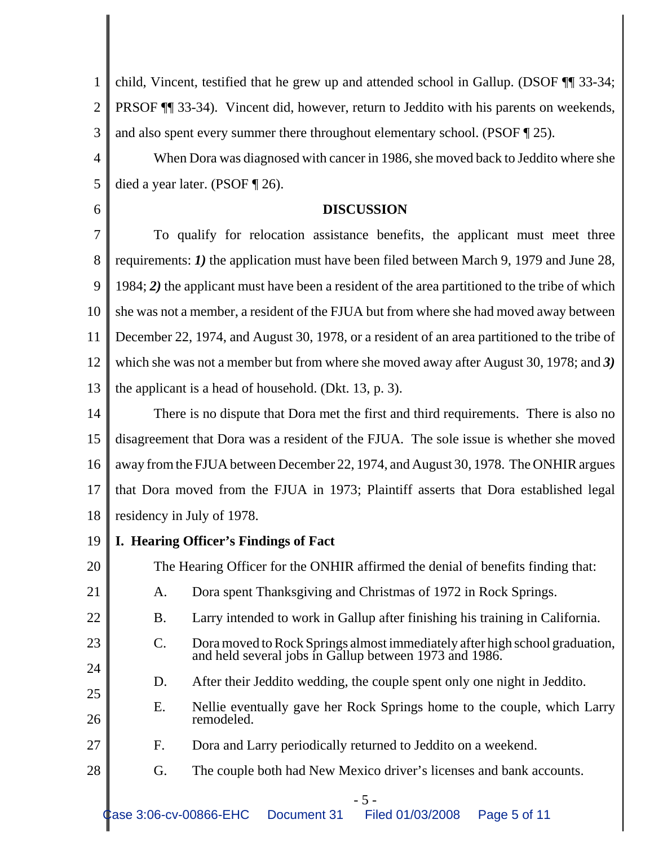1 2 3 child, Vincent, testified that he grew up and attended school in Gallup. (DSOF ¶¶ 33-34; PRSOF ¶¶ 33-34). Vincent did, however, return to Jeddito with his parents on weekends, and also spent every summer there throughout elementary school. (PSOF ¶ 25).

4 5 When Dora was diagnosed with cancer in 1986, she moved back to Jeddito where she died a year later. (PSOF ¶ 26).

# **DISCUSSION**

7 8 9 10 11 12 13 To qualify for relocation assistance benefits, the applicant must meet three requirements: *1)* the application must have been filed between March 9, 1979 and June 28, 1984; *2)* the applicant must have been a resident of the area partitioned to the tribe of which she was not a member, a resident of the FJUA but from where she had moved away between December 22, 1974, and August 30, 1978, or a resident of an area partitioned to the tribe of which she was not a member but from where she moved away after August 30, 1978; and *3)* the applicant is a head of household. (Dkt. 13, p. 3).

14 15 16 17 18 There is no dispute that Dora met the first and third requirements. There is also no disagreement that Dora was a resident of the FJUA. The sole issue is whether she moved away from the FJUA between December 22, 1974, and August 30, 1978. The ONHIR argues that Dora moved from the FJUA in 1973; Plaintiff asserts that Dora established legal residency in July of 1978.

19 **I. Hearing Officer's Findings of Fact**

6

20

21

22

23

24

27

The Hearing Officer for the ONHIR affirmed the denial of benefits finding that:

- A. Dora spent Thanksgiving and Christmas of 1972 in Rock Springs.
- B. Larry intended to work in Gallup after finishing his training in California.
- C. Dora moved to Rock Springs almost immediately after high school graduation, and held several jobs in Gallup between 1973 and 1986.
- D. After their Jeddito wedding, the couple spent only one night in Jeddito.
- 25 26 E. Nellie eventually gave her Rock Springs home to the couple, which Larry remodeled.
	- F. Dora and Larry periodically returned to Jeddito on a weekend.
- 28 G. The couple both had New Mexico driver's licenses and bank accounts.

- 5 -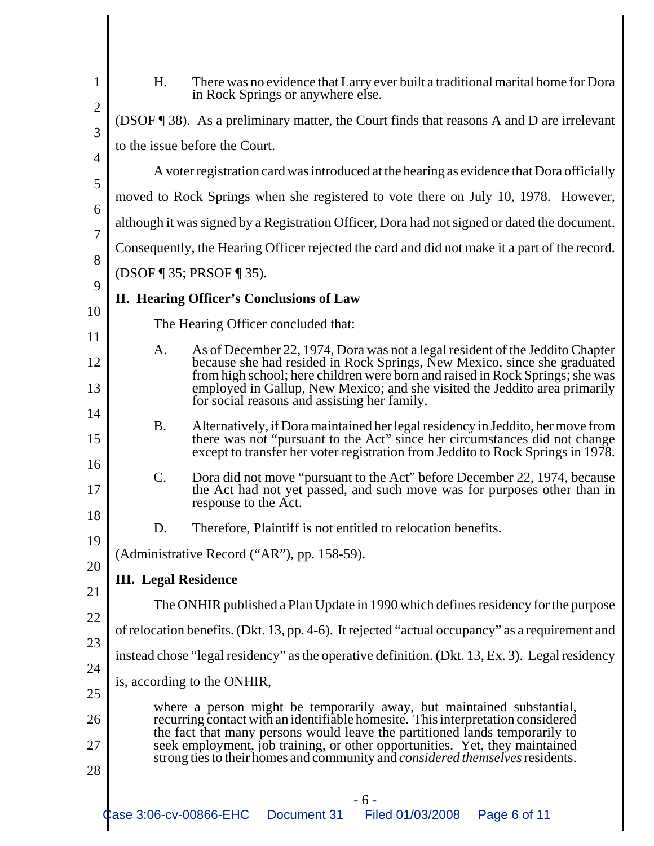| H.                                                                                                                                                                                                                                                                                                                                                                                                             | There was no evidence that Larry ever built a traditional marital home for Dora<br>in Rock Springs or anywhere else.                                                                                                                                                                                                                                                     |  |
|----------------------------------------------------------------------------------------------------------------------------------------------------------------------------------------------------------------------------------------------------------------------------------------------------------------------------------------------------------------------------------------------------------------|--------------------------------------------------------------------------------------------------------------------------------------------------------------------------------------------------------------------------------------------------------------------------------------------------------------------------------------------------------------------------|--|
|                                                                                                                                                                                                                                                                                                                                                                                                                | (DSOF ¶ 38). As a preliminary matter, the Court finds that reasons A and D are irrelevant                                                                                                                                                                                                                                                                                |  |
|                                                                                                                                                                                                                                                                                                                                                                                                                | to the issue before the Court.                                                                                                                                                                                                                                                                                                                                           |  |
| A voter registration card was introduced at the hearing as evidence that Dora officially                                                                                                                                                                                                                                                                                                                       |                                                                                                                                                                                                                                                                                                                                                                          |  |
| moved to Rock Springs when she registered to vote there on July 10, 1978. However,                                                                                                                                                                                                                                                                                                                             |                                                                                                                                                                                                                                                                                                                                                                          |  |
| although it was signed by a Registration Officer, Dora had not signed or dated the document.                                                                                                                                                                                                                                                                                                                   |                                                                                                                                                                                                                                                                                                                                                                          |  |
| Consequently, the Hearing Officer rejected the card and did not make it a part of the record.                                                                                                                                                                                                                                                                                                                  |                                                                                                                                                                                                                                                                                                                                                                          |  |
| (DSOF ¶ 35; PRSOF ¶ 35).                                                                                                                                                                                                                                                                                                                                                                                       |                                                                                                                                                                                                                                                                                                                                                                          |  |
| 9<br>II. Hearing Officer's Conclusions of Law<br>10                                                                                                                                                                                                                                                                                                                                                            |                                                                                                                                                                                                                                                                                                                                                                          |  |
| The Hearing Officer concluded that:                                                                                                                                                                                                                                                                                                                                                                            |                                                                                                                                                                                                                                                                                                                                                                          |  |
| A.                                                                                                                                                                                                                                                                                                                                                                                                             | As of December 22, 1974, Dora was not a legal resident of the Jeddito Chapter<br>because she had resided in Rock Springs, New Mexico, since she graduated<br>from high school; here children were born and raised in Rock Springs; she was<br>employed in Gallup, New Mexico; and she visited the Jeddito area primarily<br>for social reasons and assisting her family. |  |
| <b>B.</b>                                                                                                                                                                                                                                                                                                                                                                                                      | Alternatively, if Dora maintained her legal residency in Jeddito, her move from<br>there was not "pursuant to the Act" since her circumstances did not change<br>except to transfer her voter registration from Jeddito to Rock Springs in 1978.                                                                                                                         |  |
| $\mathcal{C}$ .                                                                                                                                                                                                                                                                                                                                                                                                | Dora did not move "pursuant to the Act" before December 22, 1974, because<br>the Act had not yet passed, and such move was for purposes other than in<br>response to the Act.                                                                                                                                                                                            |  |
| D.                                                                                                                                                                                                                                                                                                                                                                                                             | Therefore, Plaintiff is not entitled to relocation benefits.                                                                                                                                                                                                                                                                                                             |  |
|                                                                                                                                                                                                                                                                                                                                                                                                                | (Administrative Record ("AR"), pp. 158-59).                                                                                                                                                                                                                                                                                                                              |  |
| <b>III.</b> Legal Residence                                                                                                                                                                                                                                                                                                                                                                                    |                                                                                                                                                                                                                                                                                                                                                                          |  |
| The ONHIR published a Plan Update in 1990 which defines residency for the purpose                                                                                                                                                                                                                                                                                                                              |                                                                                                                                                                                                                                                                                                                                                                          |  |
| of relocation benefits. (Dkt. 13, pp. 4-6). It rejected "actual occupancy" as a requirement and                                                                                                                                                                                                                                                                                                                |                                                                                                                                                                                                                                                                                                                                                                          |  |
| instead chose "legal residency" as the operative definition. (Dkt. 13, Ex. 3). Legal residency                                                                                                                                                                                                                                                                                                                 |                                                                                                                                                                                                                                                                                                                                                                          |  |
| is, according to the ONHIR,                                                                                                                                                                                                                                                                                                                                                                                    |                                                                                                                                                                                                                                                                                                                                                                          |  |
| where a person might be temporarily away, but maintained substantial,<br>recurring contact with an identifiable homesite. This interpretation considered<br>the fact that many persons would leave the partitioned lands temporarily to<br>seek employment, job training, or other opportunities. Yet, they maintained<br>strong ties to their homes and community and <i>considered themselves</i> residents. |                                                                                                                                                                                                                                                                                                                                                                          |  |
| Case 3:06-cv-00866-EHC                                                                                                                                                                                                                                                                                                                                                                                         | - 6 -<br>Filed 01/03/2008<br>Page 6 of 11<br>Document 31                                                                                                                                                                                                                                                                                                                 |  |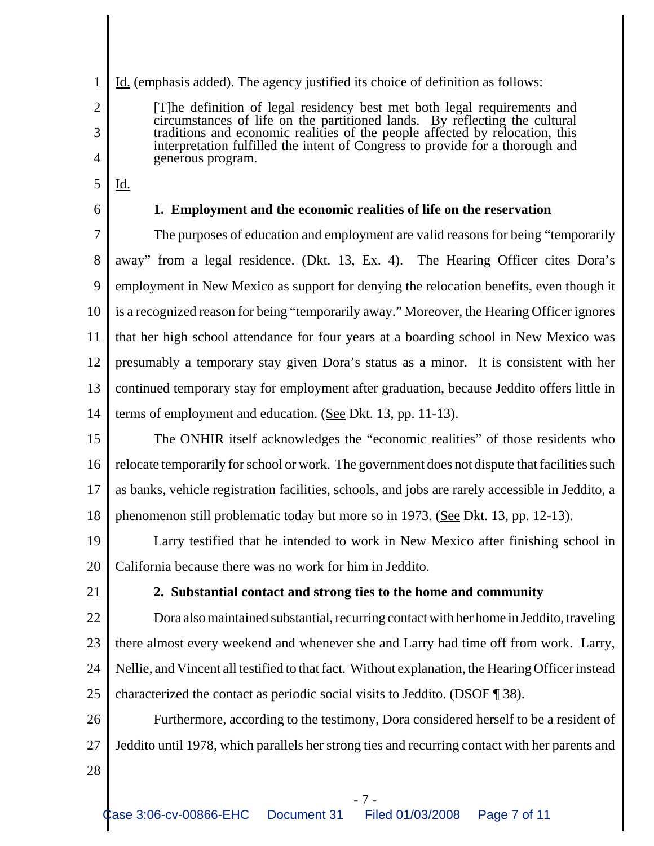1 2

- 3 4
- 5 Id.

generous program.

6

# **1. Employment and the economic realities of life on the reservation**

[T]he definition of legal residency best met both legal requirements and circumstances of life on the partitioned lands. By reflecting the cultural traditions and economic realities of the people affected by relocation, this interpretation fulfilled the intent of Congress to provide for a thorough and

Id. (emphasis added). The agency justified its choice of definition as follows:

7 8 9 10 11 12 13 14 The purposes of education and employment are valid reasons for being "temporarily away" from a legal residence. (Dkt. 13, Ex. 4). The Hearing Officer cites Dora's employment in New Mexico as support for denying the relocation benefits, even though it is a recognized reason for being "temporarily away." Moreover, the Hearing Officer ignores that her high school attendance for four years at a boarding school in New Mexico was presumably a temporary stay given Dora's status as a minor. It is consistent with her continued temporary stay for employment after graduation, because Jeddito offers little in terms of employment and education. (See Dkt. 13, pp. 11-13).

15 16 17 18 The ONHIR itself acknowledges the "economic realities" of those residents who relocate temporarily for school or work. The government does not dispute that facilities such as banks, vehicle registration facilities, schools, and jobs are rarely accessible in Jeddito, a phenomenon still problematic today but more so in 1973. (See Dkt. 13, pp. 12-13).

19 20 Larry testified that he intended to work in New Mexico after finishing school in California because there was no work for him in Jeddito.

21

# **2. Substantial contact and strong ties to the home and community**

22 23 24 25 Dora also maintained substantial, recurring contact with her home in Jeddito, traveling there almost every weekend and whenever she and Larry had time off from work. Larry, Nellie, and Vincent all testified to that fact. Without explanation, the Hearing Officer instead characterized the contact as periodic social visits to Jeddito. (DSOF ¶ 38).

26 27 Furthermore, according to the testimony, Dora considered herself to be a resident of Jeddito until 1978, which parallels her strong ties and recurring contact with her parents and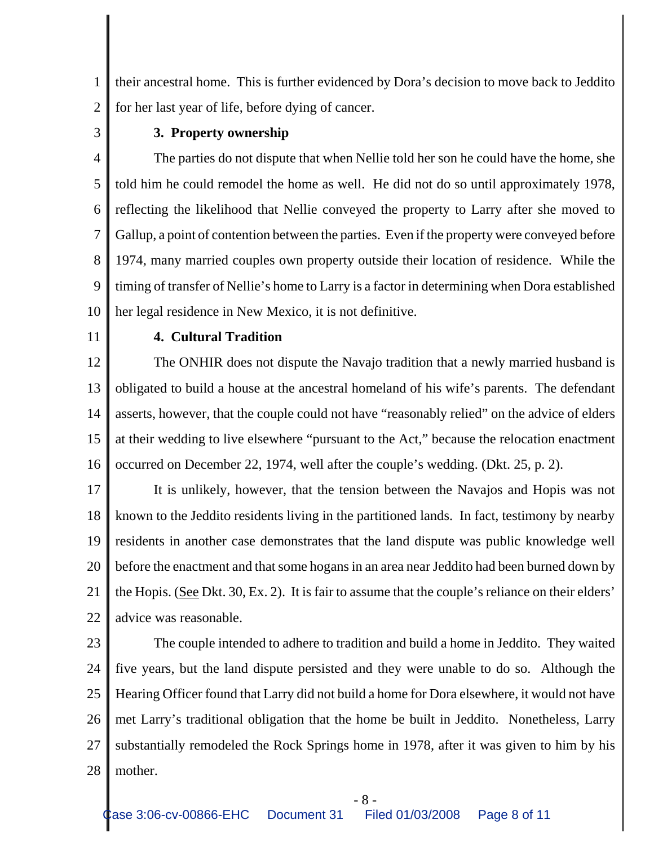1 2 their ancestral home. This is further evidenced by Dora's decision to move back to Jeddito for her last year of life, before dying of cancer.

3

### **3. Property ownership**

4 5 6 7 8 9 10 The parties do not dispute that when Nellie told her son he could have the home, she told him he could remodel the home as well. He did not do so until approximately 1978, reflecting the likelihood that Nellie conveyed the property to Larry after she moved to Gallup, a point of contention between the parties. Even if the property were conveyed before 1974, many married couples own property outside their location of residence. While the timing of transfer of Nellie's home to Larry is a factor in determining when Dora established her legal residence in New Mexico, it is not definitive.

11

### **4. Cultural Tradition**

12 13 14 15 16 The ONHIR does not dispute the Navajo tradition that a newly married husband is obligated to build a house at the ancestral homeland of his wife's parents. The defendant asserts, however, that the couple could not have "reasonably relied" on the advice of elders at their wedding to live elsewhere "pursuant to the Act," because the relocation enactment occurred on December 22, 1974, well after the couple's wedding. (Dkt. 25, p. 2).

17 18 19 20 21 22 It is unlikely, however, that the tension between the Navajos and Hopis was not known to the Jeddito residents living in the partitioned lands. In fact, testimony by nearby residents in another case demonstrates that the land dispute was public knowledge well before the enactment and that some hogans in an area near Jeddito had been burned down by the Hopis. (See Dkt. 30, Ex. 2). It is fair to assume that the couple's reliance on their elders' advice was reasonable.

23

24 25 26 27 28 The couple intended to adhere to tradition and build a home in Jeddito. They waited five years, but the land dispute persisted and they were unable to do so. Although the Hearing Officer found that Larry did not build a home for Dora elsewhere, it would not have met Larry's traditional obligation that the home be built in Jeddito. Nonetheless, Larry substantially remodeled the Rock Springs home in 1978, after it was given to him by his mother.

- 8 -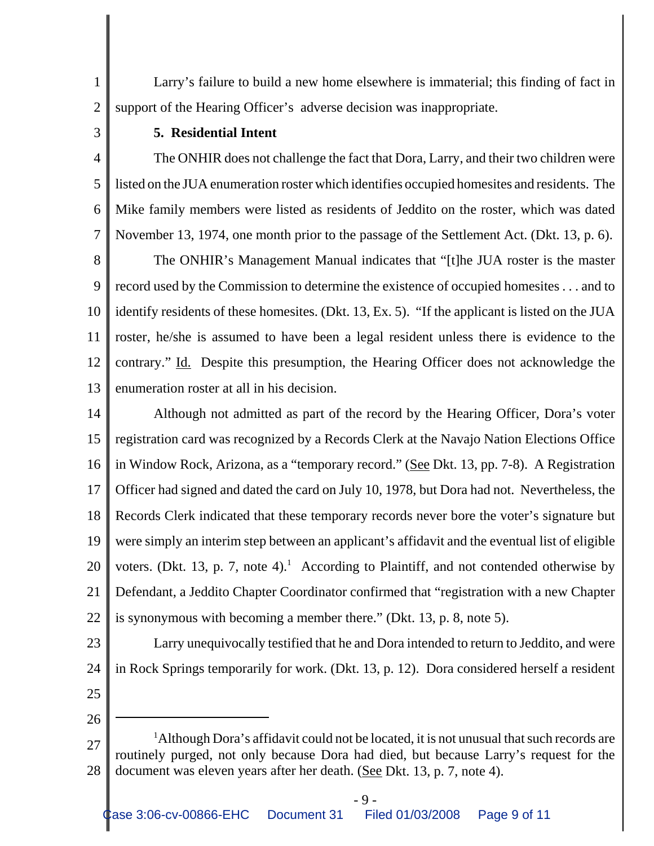1 2 Larry's failure to build a new home elsewhere is immaterial; this finding of fact in support of the Hearing Officer's adverse decision was inappropriate.

3

#### **5. Residential Intent**

4 5 6 7 The ONHIR does not challenge the fact that Dora, Larry, and their two children were listed on the JUA enumeration roster which identifies occupied homesites and residents. The Mike family members were listed as residents of Jeddito on the roster, which was dated November 13, 1974, one month prior to the passage of the Settlement Act. (Dkt. 13, p. 6).

8 9 10 11 12 13 The ONHIR's Management Manual indicates that "[t]he JUA roster is the master record used by the Commission to determine the existence of occupied homesites . . . and to identify residents of these homesites. (Dkt. 13, Ex. 5). "If the applicant is listed on the JUA roster, he/she is assumed to have been a legal resident unless there is evidence to the contrary." Id. Despite this presumption, the Hearing Officer does not acknowledge the enumeration roster at all in his decision.

14 15 16 17 18 19 20 21 22 Although not admitted as part of the record by the Hearing Officer, Dora's voter registration card was recognized by a Records Clerk at the Navajo Nation Elections Office in Window Rock, Arizona, as a "temporary record." (See Dkt. 13, pp. 7-8). A Registration Officer had signed and dated the card on July 10, 1978, but Dora had not. Nevertheless, the Records Clerk indicated that these temporary records never bore the voter's signature but were simply an interim step between an applicant's affidavit and the eventual list of eligible voters. (Dkt. 13, p. 7, note 4).<sup>1</sup> According to Plaintiff, and not contended otherwise by Defendant, a Jeddito Chapter Coordinator confirmed that "registration with a new Chapter is synonymous with becoming a member there." (Dkt. 13, p. 8, note 5).

- Larry unequivocally testified that he and Dora intended to return to Jeddito, and were in Rock Springs temporarily for work. (Dkt. 13, p. 12). Dora considered herself a resident
- 25

23

24

<sup>27</sup> 28 <sup>1</sup>Although Dora's affidavit could not be located, it is not unusual that such records are routinely purged, not only because Dora had died, but because Larry's request for the document was eleven years after her death. (See Dkt. 13, p. 7, note 4).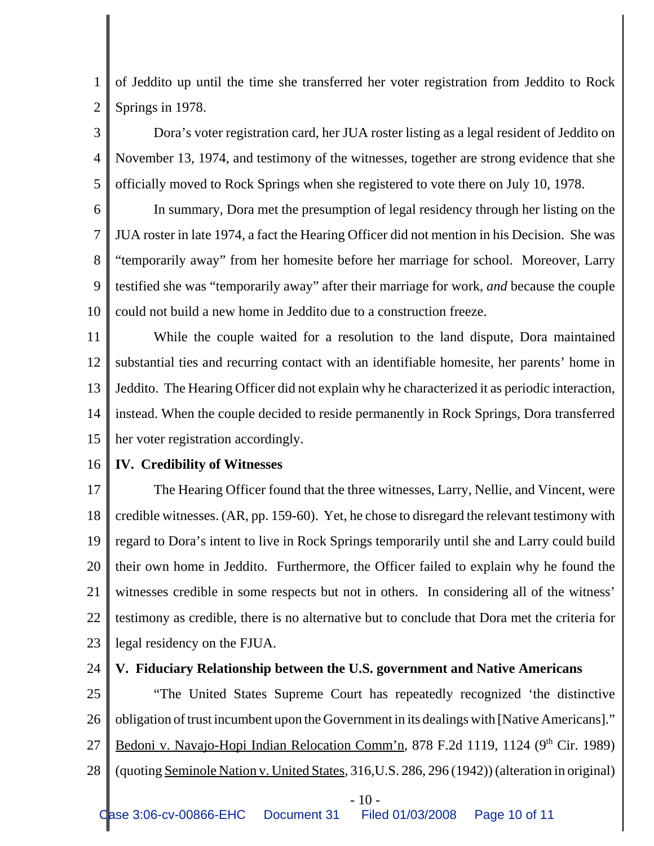1 2 of Jeddito up until the time she transferred her voter registration from Jeddito to Rock Springs in 1978.

3 4 5 Dora's voter registration card, her JUA roster listing as a legal resident of Jeddito on November 13, 1974, and testimony of the witnesses, together are strong evidence that she officially moved to Rock Springs when she registered to vote there on July 10, 1978.

6 7 8 9 10 In summary, Dora met the presumption of legal residency through her listing on the JUA roster in late 1974, a fact the Hearing Officer did not mention in his Decision. She was "temporarily away" from her homesite before her marriage for school. Moreover, Larry testified she was "temporarily away" after their marriage for work, *and* because the couple could not build a new home in Jeddito due to a construction freeze.

11 12 13 14 15 While the couple waited for a resolution to the land dispute, Dora maintained substantial ties and recurring contact with an identifiable homesite, her parents' home in Jeddito. The Hearing Officer did not explain why he characterized it as periodic interaction, instead. When the couple decided to reside permanently in Rock Springs, Dora transferred her voter registration accordingly.

#### 16 **IV. Credibility of Witnesses**

17 18 19 20 21 22 23 The Hearing Officer found that the three witnesses, Larry, Nellie, and Vincent, were credible witnesses. (AR, pp. 159-60). Yet, he chose to disregard the relevant testimony with regard to Dora's intent to live in Rock Springs temporarily until she and Larry could build their own home in Jeddito. Furthermore, the Officer failed to explain why he found the witnesses credible in some respects but not in others. In considering all of the witness' testimony as credible, there is no alternative but to conclude that Dora met the criteria for legal residency on the FJUA.

#### 24 **V. Fiduciary Relationship between the U.S. government and Native Americans**

25 26 27 28 "The United States Supreme Court has repeatedly recognized 'the distinctive obligation of trust incumbent upon the Government in its dealings with [Native Americans]." Bedoni v. Navajo-Hopi Indian Relocation Comm'n, 878 F.2d 1119, 1124 (9<sup>th</sup> Cir. 1989) (quoting Seminole Nation v. United States, 316,U.S. 286, 296 (1942)) (alteration in original)

 $-10-$